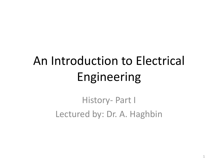# An Introduction to Electrical Engineering

History- Part I Lectured by: Dr. A. Haghbin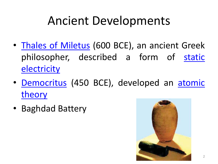#### Ancient Developments

- Thales of [Miletus](https://en.wikipedia.org/wiki/Thales_of_Miletus) (600 BCE), an ancient Greek [philosopher,](https://en.wikipedia.org/wiki/Static_electricity) described a form of static **electricity**
- [Democritus](https://en.wikipedia.org/wiki/Atomic_theory) (450 BCE), developed an atomic theory
- Baghdad Battery

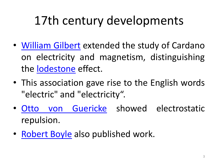- [William](https://en.wikipedia.org/wiki/William_Gilbert_(astronomer)) Gilbert extended the study of Cardano on electricity and magnetism, distinguishing the [lodestone](https://en.wikipedia.org/wiki/Lodestone) effect.
- This association gave rise to the English words "electric" and "electricity".
- Otto von [Guericke](https://en.wikipedia.org/wiki/Otto_von_Guericke) showed electrostatic repulsion.
- [Robert](https://en.wikipedia.org/wiki/Robert_Boyle) Boyle also published work.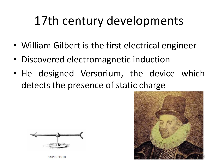- William Gilbert is the first electrical engineer
- Discovered electromagnetic induction
- He designed Versorium, the device which detects the presence of static charge



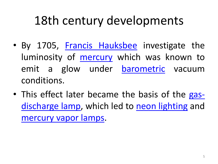- By 1705, Francis [Hauksbee](https://en.wikipedia.org/wiki/Francis_Hauksbee) investigate the luminosity of **[mercury](https://en.wikipedia.org/wiki/Mercury_(element))** which was known to emit a glow under [barometric](https://en.wikipedia.org/wiki/Barometer) vacuum conditions.
- This effect later became the basis of the gas[discharge](https://en.wikipedia.org/wiki/Gas-discharge_lamp) lamp, which led to neon [lighting](https://en.wikipedia.org/wiki/Neon_lighting) and [mercury](https://en.wikipedia.org/wiki/Mercury-vapor_lamp) vapor lamps.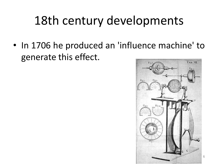• In 1706 he produced an 'influence machine' to generate this effect.



6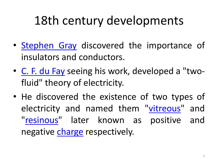- [Stephen](https://en.wikipedia.org/wiki/Stephen_Gray_(scientist)) Gray discovered the importance of insulators and conductors.
- C. F. du [Fay](https://en.wikipedia.org/wiki/C._F._du_Fay) seeing his work, developed a "twofluid" theory of electricity.
- He discovered the existence of two types of electricity and named them ["vitreous"](https://en.wikipedia.org/wiki/Glass) and ["resinous"](https://en.wikipedia.org/wiki/Resinous) later known as positive and negative [charge](https://en.wikipedia.org/wiki/Electric_charge) respectively.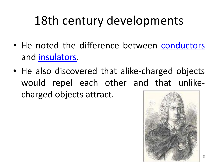- He noted the difference between [conductors](https://en.wikipedia.org/wiki/Conductor_(material)) and [insulators.](https://en.wikipedia.org/wiki/Insulator_(electricity))
- He also discovered that alike-charged objects would repel each other and that unlikecharged objects attract.

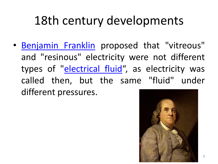• [Benjamin](https://en.wikipedia.org/wiki/Benjamin_Franklin) Franklin proposed that "vitreous" and "resinous" electricity were not different types of "*[electrical](https://en.wikipedia.org/wiki/Aether_theories) fluid"*, as electricity was called then, but the same "fluid" under different pressures.

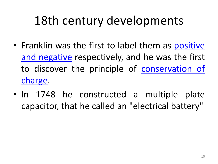- Franklin was the first to label them as positive and negative [respectively,](https://en.wikipedia.org/wiki/Electric_charge) and he was the first to discover the principle of [conservation](https://en.wikipedia.org/wiki/Charge_conservation) of charge.
- In 1748 he constructed a multiple plate capacitor, that he called an "electrical battery"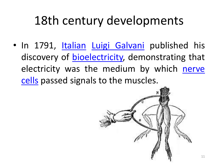• In 1791, [Italian](https://en.wikipedia.org/wiki/Italians) Luigi [Galvani](https://en.wikipedia.org/wiki/Luigi_Galvani) published his discovery of [bioelectricity,](https://en.wikipedia.org/wiki/Bioelectricity) demonstrating that electricity was the medium by which nerve cells passed signals to the [muscles.](https://en.wikipedia.org/wiki/Nerve_cell)

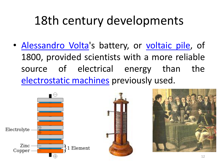• [Alessandro](https://en.wikipedia.org/wiki/Alessandro_Volta) Volta's battery, or [voltaic](https://en.wikipedia.org/wiki/Voltaic_pile) pile, of 1800, provided scientists with a more reliable source of electrical energy than the [electrostatic](https://en.wikipedia.org/wiki/Electrostatic_machine) machines previously used.



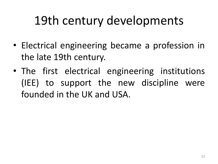- Electrical engineering became a profession in the late 19th century.
- The first electrical engineering institutions (IEE) to support the new discipline were founded in the UK and USA.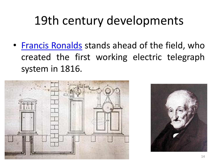• Francis [Ronalds](https://en.wikipedia.org/wiki/Francis_Ronalds) stands ahead of the field, who created the first working electric telegraph system in 1816.



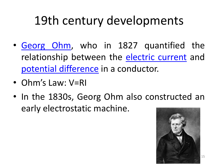- [Georg](https://en.wikipedia.org/wiki/Georg_Ohm) Ohm, who in 1827 quantified the relationship between the [electric](https://en.wikipedia.org/wiki/Electric_current) current and potential [difference](https://en.wikipedia.org/wiki/Potential_difference) in a conductor.
- Ohm's Law: V=RI
- In the 1830s, Georg Ohm also constructed an early electrostatic machine.

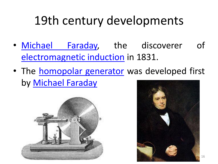- [Michael](https://en.wikipedia.org/wiki/Michael_Faraday) Faraday, the discoverer of [electromagnetic](https://en.wikipedia.org/wiki/Electromagnetic_induction) induction in 1831.
- The **[homopolar](https://en.wikipedia.org/wiki/Homopolar_generator) generator** was developed first by [Michael](https://en.wikipedia.org/wiki/Michael_Faraday) Faraday



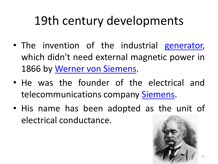- The invention of the industrial [generator,](https://en.wikipedia.org/wiki/Electric_generator) which didn't need external magnetic power in 1866 by Werner von [Siemens.](https://en.wikipedia.org/wiki/Werner_von_Siemens)
- He was the founder of the electrical and telecommunications company [Siemens](https://en.wikipedia.org/wiki/Siemens_AG).
- His name has been adopted as the unit of electrical conductance.